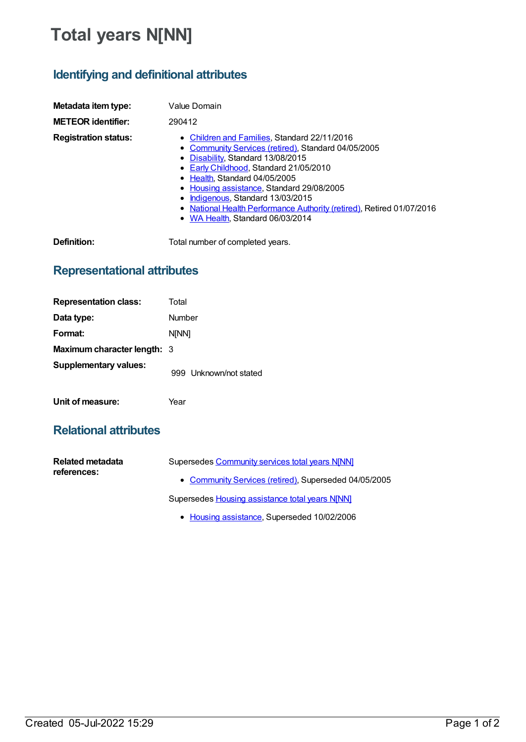# **Total years N[NN]**

## **Identifying and definitional attributes**

| Metadata item type:         | Value Domain                                                                                                                                                                                                                                                                                                                                                                                                     |
|-----------------------------|------------------------------------------------------------------------------------------------------------------------------------------------------------------------------------------------------------------------------------------------------------------------------------------------------------------------------------------------------------------------------------------------------------------|
| <b>METEOR identifier:</b>   | 290412                                                                                                                                                                                                                                                                                                                                                                                                           |
| <b>Registration status:</b> | • Children and Families, Standard 22/11/2016<br>• Community Services (retired), Standard 04/05/2005<br>• Disability, Standard 13/08/2015<br>• Early Childhood. Standard 21/05/2010<br>• Health, Standard 04/05/2005<br>• Housing assistance, Standard 29/08/2005<br>Indigenous, Standard 13/03/2015<br>• National Health Performance Authority (retired), Retired 01/07/2016<br>• WA Health. Standard 06/03/2014 |
| Definition:                 | Total number of completed years.                                                                                                                                                                                                                                                                                                                                                                                 |

### **Representational attributes**

| <b>Representation class:</b>       | Total                  |
|------------------------------------|------------------------|
| Data type:                         | Number                 |
| Format:                            | <b>NINN1</b>           |
| <b>Maximum character length: 3</b> |                        |
| <b>Supplementary values:</b>       | 999 Unknown/not stated |
| Unit of measure:                   | Year                   |

### **Relational attributes**

| Related metadata<br>references: | Supersedes Community services total years N[NN]       |
|---------------------------------|-------------------------------------------------------|
|                                 | • Community Services (retired), Superseded 04/05/2005 |
|                                 | Supersedes Housing assistance total years N[NN]       |

• Housing [assistance](https://meteor.aihw.gov.au/RegistrationAuthority/11), Superseded 10/02/2006